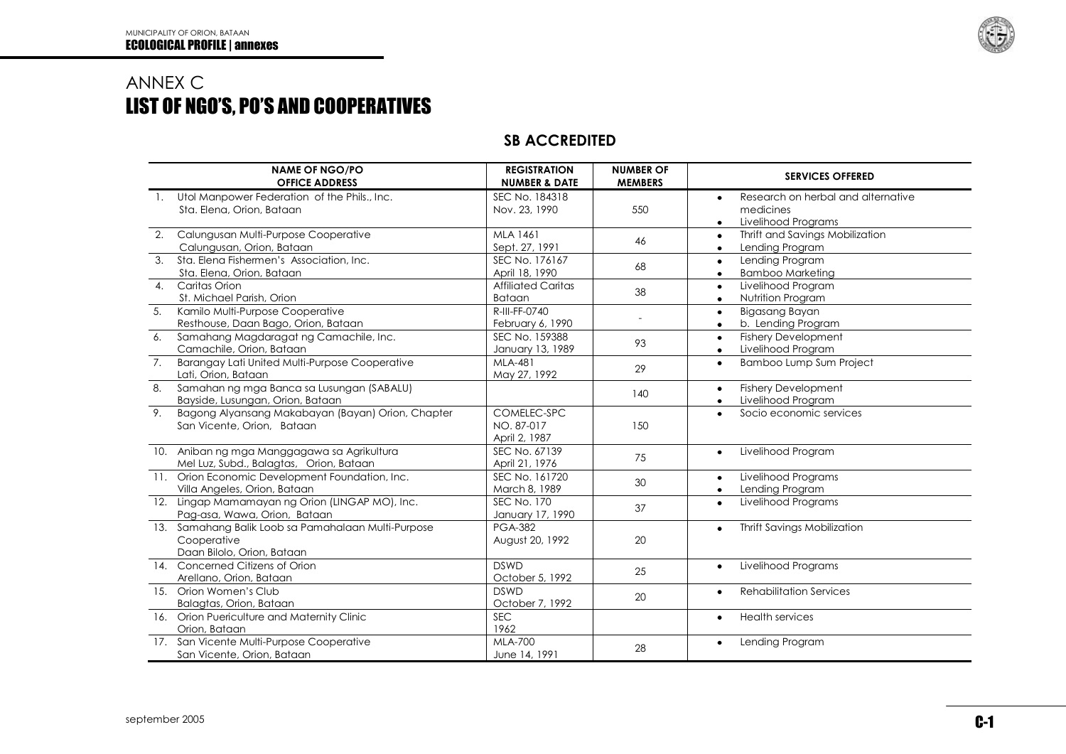

## ANNEX C LIST OF NGO'S, PO'S AND COOPERATIVES

## **SB ACCREDITED**

| <b>NAME OF NGO/PO</b><br><b>OFFICE ADDRESS</b>                                                   | <b>REGISTRATION</b><br><b>NUMBER &amp; DATE</b> | <b>NUMBER OF</b><br><b>MEMBERS</b> | <b>SERVICES OFFERED</b>                                                                          |
|--------------------------------------------------------------------------------------------------|-------------------------------------------------|------------------------------------|--------------------------------------------------------------------------------------------------|
| 1. Utol Manpower Federation of the Phils., Inc.<br>Sta. Elena, Orion, Bataan                     | SEC No. 184318<br>Nov. 23, 1990                 | 550                                | Research on herbal and alternative<br>$\bullet$<br>medicines<br>Livelihood Programs<br>$\bullet$ |
| Calungusan Multi-Purpose Cooperative<br>2.<br>Calungusan, Orion, Bataan                          | MLA 1461<br>Sept. 27, 1991                      | 46                                 | Thrift and Savings Mobilization<br>$\bullet$<br>Lending Program<br>$\bullet$                     |
| $\mathfrak{Z}$ .<br>Sta. Elena Fishermen's Association, Inc.<br>Sta. Elena, Orion, Bataan        | SEC No. 176167<br>April 18, 1990                | 68                                 | Lending Program<br>$\bullet$<br><b>Bamboo Marketing</b><br>$\bullet$                             |
| Caritas Orion<br>$\overline{4}$ .<br>St. Michael Parish, Orion                                   | <b>Affiliated Caritas</b><br><b>Bataan</b>      | 38                                 | Livelihood Program<br>$\bullet$<br>Nutrition Program<br>$\bullet$                                |
| Kamilo Multi-Purpose Cooperative<br>5.<br>Resthouse, Daan Bago, Orion, Bataan                    | R-III-FF-0740<br>February 6, 1990               |                                    | Bigasang Bayan<br>$\bullet$<br>b. Lending Program<br>$\bullet$                                   |
| Samahang Magdaragat ng Camachile, Inc.<br>6.<br>Camachile, Orion, Bataan                         | SEC No. 159388<br>January 13, 1989              | 93                                 | <b>Fishery Development</b><br>$\bullet$<br>Livelihood Program<br>$\bullet$                       |
| 7.<br>Barangay Lati United Multi-Purpose Cooperative<br>Lati, Orion, Bataan                      | MLA-481<br>May 27, 1992                         | 29                                 | Bamboo Lump Sum Project<br>$\bullet$                                                             |
| 8.<br>Samahan ng mga Banca sa Lusungan (SABALU)<br>Bayside, Lusungan, Orion, Bataan              |                                                 | 140                                | <b>Fishery Development</b><br>$\bullet$<br>Livelihood Program<br>$\bullet$                       |
| 9.<br>Bagong Alyansang Makabayan (Bayan) Orion, Chapter<br>San Vicente, Orion, Bataan            | COMELEC-SPC<br>NO. 87-017<br>April 2, 1987      | 150                                | Socio economic services<br>$\bullet$                                                             |
| 10. Aniban ng mga Manggagawa sa Agrikultura<br>Mel Luz, Subd., Balagtas, Orion, Bataan           | SEC No. 67139<br>April 21, 1976                 | 75                                 | Livelihood Program<br>$\bullet$                                                                  |
| Orion Economic Development Foundation, Inc.<br>11.<br>Villa Angeles, Orion, Bataan               | SEC No. 161720<br>March 8, 1989                 | 30                                 | Livelihood Programs<br>$\bullet$<br>Lending Program<br>$\bullet$                                 |
| 12. Lingap Mamamayan ng Orion (LINGAP MO), Inc.<br>Pag-asa, Wawa, Orion, Bataan                  | <b>SEC No. 170</b><br>January 17, 1990          | 37                                 | Livelihood Programs<br>$\bullet$                                                                 |
| 13. Samahang Balik Loob sa Pamahalaan Multi-Purpose<br>Cooperative<br>Daan Bilolo, Orion, Bataan | <b>PGA-382</b><br>August 20, 1992               | 20                                 | <b>Thrift Savings Mobilization</b><br>$\bullet$                                                  |
| 14. Concerned Citizens of Orion<br>Arellano, Orion, Bataan                                       | <b>DSWD</b><br>October 5, 1992                  | 25                                 | Livelihood Programs<br>$\bullet$                                                                 |
| 15. Orion Women's Club<br>Balagtas, Orion, Bataan                                                | <b>DSWD</b><br>October 7, 1992                  | 20                                 | <b>Rehabilitation Services</b><br>$\bullet$                                                      |
| 16. Orion Puericulture and Maternity Clinic<br>Orion, Bataan                                     | <b>SEC</b><br>1962                              |                                    | <b>Health services</b><br>$\bullet$                                                              |
| 17. San Vicente Multi-Purpose Cooperative<br>San Vicente, Orion, Bataan                          | <b>MLA-700</b><br>June 14, 1991                 | 28                                 | Lending Program<br>$\bullet$                                                                     |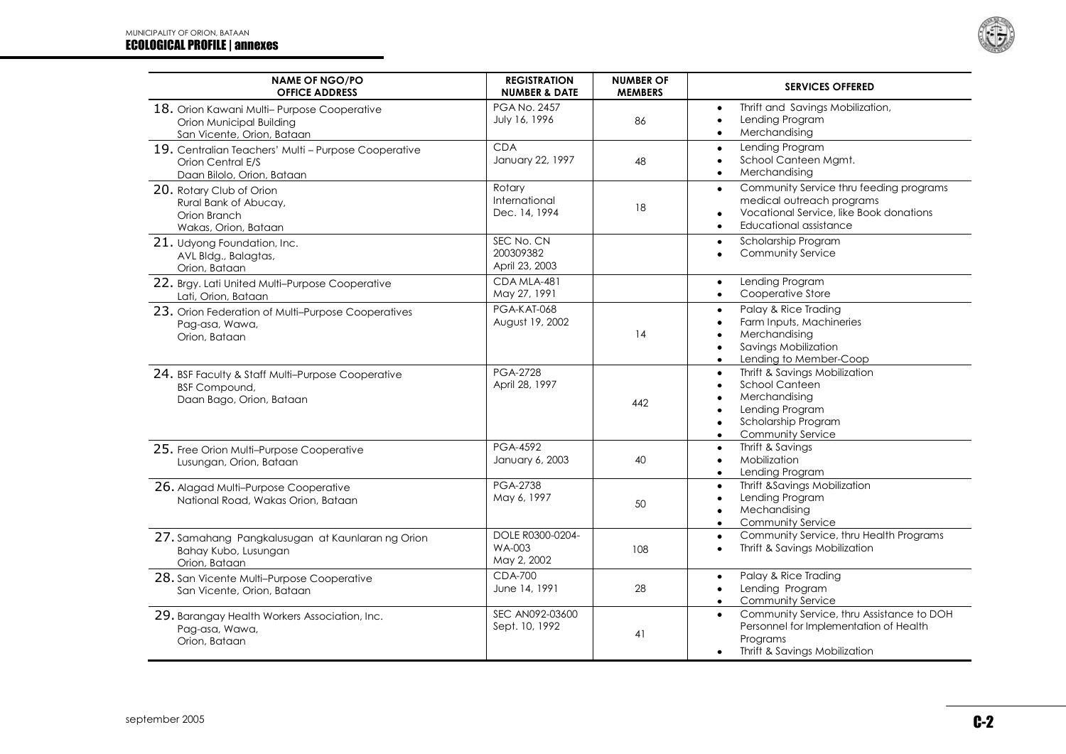

| <b>NAME OF NGO/PO</b><br><b>OFFICE ADDRESS</b>                                                          | <b>REGISTRATION</b><br><b>NUMBER &amp; DATE</b> | <b>NUMBER OF</b><br><b>MEMBERS</b> | <b>SERVICES OFFERED</b>                                                                                                                                                                    |
|---------------------------------------------------------------------------------------------------------|-------------------------------------------------|------------------------------------|--------------------------------------------------------------------------------------------------------------------------------------------------------------------------------------------|
| 18. Orion Kawani Multi-Purpose Cooperative<br>Orion Municipal Building<br>San Vicente, Orion, Bataan    | <b>PGA No. 2457</b><br>July 16, 1996            | 86                                 | Thrift and Savings Mobilization,<br>$\bullet$<br>Lending Program<br>$\bullet$<br>Merchandising<br>$\bullet$                                                                                |
| 19. Centralian Teachers' Multi - Purpose Cooperative<br>Orion Central E/S<br>Daan Bilolo, Orion, Bataan | <b>CDA</b><br>January 22, 1997                  | 48                                 | Lending Program<br>$\bullet$<br>School Canteen Mgmt.<br>Merchandising                                                                                                                      |
| 20. Rotary Club of Orion<br>Rural Bank of Abucay,<br>Orion Branch<br>Wakas, Orion, Bataan               | Rotary<br>International<br>Dec. 14, 1994        | 18                                 | Community Service thru feeding programs<br>$\bullet$<br>medical outreach programs<br>Vocational Service, like Book donations<br>Educational assistance<br>$\bullet$                        |
| 21. Udyong Foundation, Inc.<br>AVL Bldg., Balagtas,<br>Orion, Bataan                                    | SEC No. CN<br>200309382<br>April 23, 2003       |                                    | Scholarship Program<br>$\bullet$<br><b>Community Service</b><br>$\bullet$                                                                                                                  |
| 22. Brgy. Lati United Multi-Purpose Cooperative<br>Lati, Orion, Bataan                                  | CDA MLA-481<br>May 27, 1991                     |                                    | Lending Program<br>$\bullet$<br>Cooperative Store<br>$\bullet$                                                                                                                             |
| 23. Orion Federation of Multi-Purpose Cooperatives<br>Pag-asa, Wawa,<br>Orion, Bataan                   | PGA-KAT-068<br>August 19, 2002                  | 14                                 | Palay & Rice Trading<br>$\bullet$<br>Farm Inputs, Machineries<br>Merchandising<br>Savings Mobilization<br>$\bullet$<br>Lending to Member-Coop<br>$\bullet$                                 |
| 24. BSF Faculty & Staff Multi-Purpose Cooperative<br><b>BSF Compound,</b><br>Daan Bago, Orion, Bataan   | <b>PGA-2728</b><br>April 28, 1997               | 442                                | Thrift & Savings Mobilization<br>$\bullet$<br><b>School Canteen</b><br>$\bullet$<br>Merchandising<br>Lending Program<br>$\bullet$<br>Scholarship Program<br>$\bullet$<br>Community Service |
| 25. Free Orion Multi-Purpose Cooperative<br>Lusungan, Orion, Bataan                                     | PGA-4592<br>January 6, 2003                     | 40                                 | Thrift & Savings<br>$\bullet$<br>Mobilization<br>$\bullet$<br>Lending Program<br>$\bullet$                                                                                                 |
| 26. Alagad Multi-Purpose Cooperative<br>National Road, Wakas Orion, Bataan                              | <b>PGA-2738</b><br>May 6, 1997                  | 50                                 | Thrift &Savings Mobilization<br>$\bullet$<br>Lending Program<br>$\bullet$<br>Mechandising<br>$\bullet$<br><b>Community Service</b><br>$\bullet$                                            |
| 27. Samahang Pangkalusugan at Kaunlaran ng Orion<br>Bahay Kubo, Lusungan<br>Orion, Bataan               | DOLE R0300-0204-<br>WA-003<br>May 2, 2002       | 108                                | Community Service, thru Health Programs<br>$\bullet$<br>Thrift & Savings Mobilization<br>$\bullet$                                                                                         |
| 28. San Vicente Multi-Purpose Cooperative<br>San Vicente, Orion, Bataan                                 | <b>CDA-700</b><br>June 14, 1991                 | 28                                 | Palay & Rice Trading<br>$\bullet$<br>Lending Program<br>$\bullet$<br>Community Service<br>$\bullet$                                                                                        |
| 29. Barangay Health Workers Association, Inc.<br>Pag-asa, Wawa,<br>Orion, Bataan                        | SEC AN092-03600<br>Sept. 10, 1992               | 41                                 | Community Service, thru Assistance to DOH<br>Personnel for Implementation of Health<br>Programs<br>Thrift & Savings Mobilization                                                           |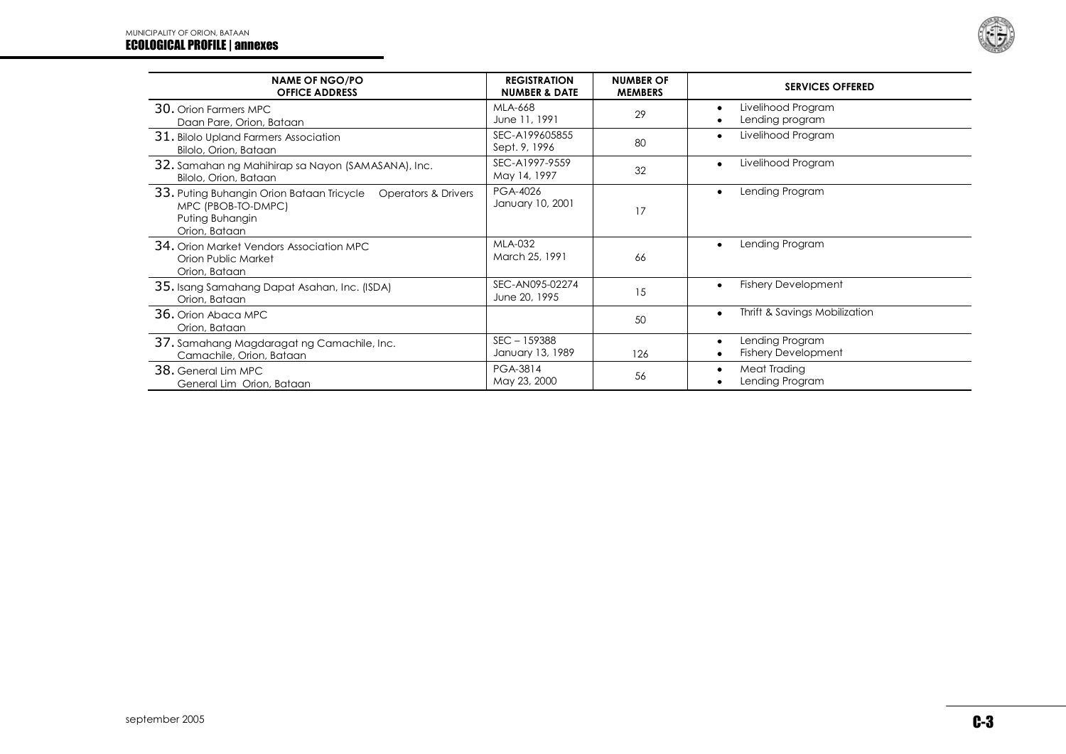## MUNICIPALITY OF ORION, BATAAN ECOLOGICAL PROFILE | annexes



| <b>NAME OF NGO/PO</b><br><b>OFFICE ADDRESS</b>                                                                           | <b>REGISTRATION</b><br><b>NUMBER &amp; DATE</b> | <b>NUMBER OF</b><br><b>MEMBERS</b> | <b>SERVICES OFFERED</b>                       |
|--------------------------------------------------------------------------------------------------------------------------|-------------------------------------------------|------------------------------------|-----------------------------------------------|
| 30. Orion Farmers MPC<br>Daan Pare, Orion, Bataan                                                                        | MLA-668<br>June 11, 1991                        | 29                                 | Livelihood Program<br>Lending program         |
| 31. Bilolo Upland Farmers Association<br>Bilolo, Orion, Bataan                                                           | SEC-A199605855<br>Sept. 9, 1996                 | 80                                 | Livelihood Program                            |
| 32. Samahan ng Mahihirap sa Nayon (SAMASANA), Inc.<br>Bilolo, Orion, Bataan                                              | SEC-A1997-9559<br>May 14, 1997                  | 32                                 | Livelihood Program                            |
| 33. Puting Buhangin Orion Bataan Tricycle  Operators & Drivers<br>MPC (PBOB-TO-DMPC)<br>Puting Buhangin<br>Orion, Bataan | PGA-4026<br>January 10, 2001                    | 17                                 | Lending Program                               |
| <b>34.</b> Orion Market Vendors Association MPC<br>Orion Public Market<br>Orion, Bataan                                  | <b>MLA-032</b><br>March 25, 1991                | 66                                 | Lending Program                               |
| 35. Isang Samahang Dapat Asahan, Inc. (ISDA)<br>Orion, Bataan                                                            | SEC-AN095-02274<br>June 20, 1995                | 15                                 | <b>Fishery Development</b>                    |
| 36. Orion Abaca MPC<br>Orion, Bataan                                                                                     |                                                 | 50                                 | Thrift & Savings Mobilization                 |
| 37. Samahang Magdaragat ng Camachile, Inc.<br>Camachile, Orion, Bataan                                                   | $SEC - 159388$<br>January 13, 1989              | 126                                | Lending Program<br><b>Fishery Development</b> |
| 38. General Lim MPC<br>General Lim Orion, Bataan                                                                         | PGA-3814<br>May 23, 2000                        | 56                                 | Meat Trading<br>Lending Program               |